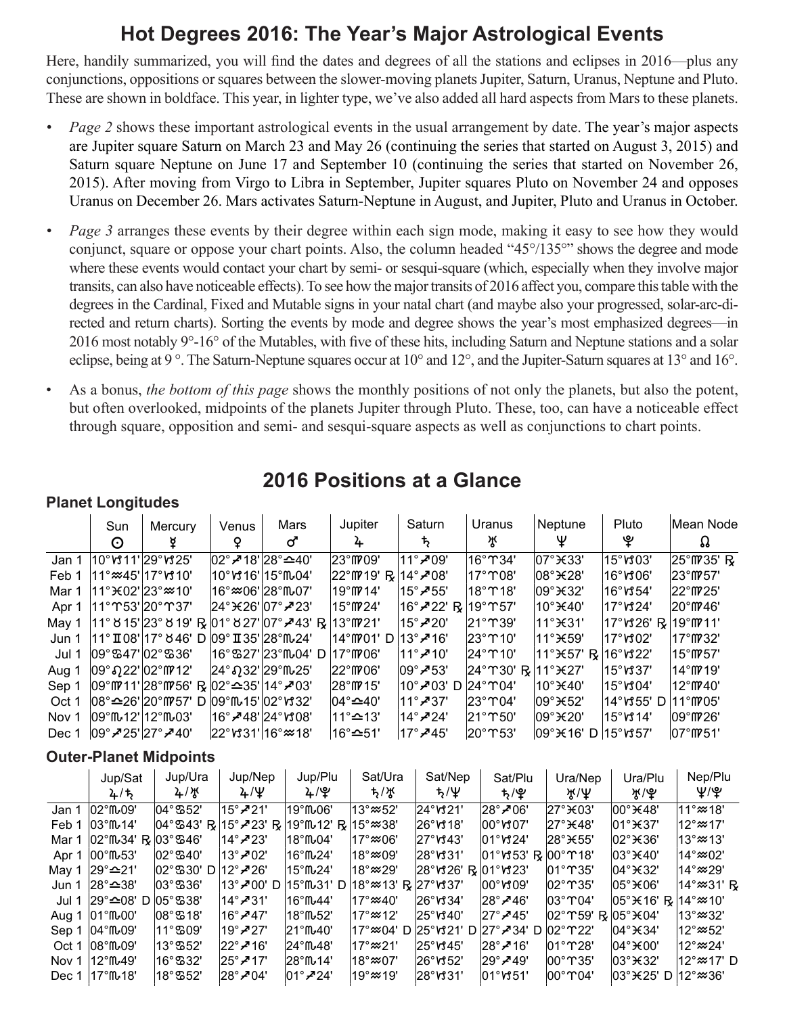## **Hot Degrees 2016: The Year's Major Astrological Events**

Here, handily summarized, you will find the dates and degrees of all the stations and eclipses in 2016—plus any conjunctions, oppositions or squares between the slower-moving planets Jupiter, Saturn, Uranus, Neptune and Pluto. These are shown in boldface. This year, in lighter type, we've also added all hard aspects from Mars to these planets.

- *• Page 2* shows these important astrological events in the usual arrangement by date. The year's major aspects are Jupiter square Saturn on March 23 and May 26 (continuing the series that started on August 3, 2015) and Saturn square Neptune on June 17 and September 10 (continuing the series that started on November 26, 2015). After moving from Virgo to Libra in September, Jupiter squares Pluto on November 24 and opposes Uranus on December 26. Mars activates Saturn-Neptune in August, and Jupiter, Pluto and Uranus in October.
- *• Page 3* arranges these events by their degree within each sign mode, making it easy to see how they would conjunct, square or oppose your chart points. Also, the column headed "45°/135°" shows the degree and mode where these events would contact your chart by semi- or sesqui-square (which, especially when they involve major transits, can also have noticeable effects). To see how the major transits of 2016 affect you, compare this table with the degrees in the Cardinal, Fixed and Mutable signs in your natal chart (and maybe also your progressed, solar-arc-directed and return charts). Sorting the events by mode and degree shows the year's most emphasized degrees—in 2016 most notably 9°-16° of the Mutables, with five of these hits, including Saturn and Neptune stations and a solar eclipse, being at 9 °. The Saturn-Neptune squares occur at 10° and 12°, and the Jupiter-Saturn squares at 13° and 16°.
- As a bonus, *the bottom of this page* shows the monthly positions of not only the planets, but also the potent, but often overlooked, midpoints of the planets Jupiter through Pluto. These, too, can have a noticeable effect through square, opposition and semi- and sesqui-square aspects as well as conjunctions to chart points.

# **2016 Positions at a Glance**

|       | <b>Planet Longitudes</b>                                           |                                                                           |       |                                                         |                                                                |                                                |                            |                                                 |                                    |                                  |
|-------|--------------------------------------------------------------------|---------------------------------------------------------------------------|-------|---------------------------------------------------------|----------------------------------------------------------------|------------------------------------------------|----------------------------|-------------------------------------------------|------------------------------------|----------------------------------|
|       | Sun                                                                | Mercury                                                                   | Venus | Mars                                                    | Jupiter                                                        | Saturn                                         | Uranus                     | Neptune                                         | Pluto                              | Mean Node                        |
|       | $\odot$                                                            |                                                                           | Q     | ර                                                       | 4                                                              | Ъ,                                             | ਮ੍ਰਾ                       | Ψ                                               | ೪                                  | Ω                                |
| Jan 1 | 10°ห11' 29°ห25'                                                    |                                                                           |       | $ 02^{\circ}$ $\leq$ 18' $ 28^{\circ}$ $\leq$ 40'       | $ 23^{\circ}$ ff $ 09^{\circ} $                                | $11^\circ$ $\geq 09^\circ$                     | $16^\circ$ T 34'           | $ 07^\circ \times 33^\prime$                    | 15°V303'                           | 25°M 35' R                       |
| Feb 1 | ∣11° <i></i> ≈45' 17° <i>∨</i> 310'                                |                                                                           |       | 10°V316' 15°Mo4'                                        | $ 22^{\circ}$ ff $ 19' \text{ R}  14^{\circ}$ / $ 08' \rangle$ |                                                | 17°ጥ08'                    | $ 08^\circ \times 28^\prime$                    | $16^{\circ}$ v $306^{\circ}$       | $ 23^{\circ}$ MP 57'             |
| Mar 1 | $ 11^{\circ}$ $\times$ 02' $ 23^{\circ}$ $\approx$ 10'             |                                                                           |       | 16° <i></i> ≈06' 28° Mu07'                              | ∣19°M714'                                                      | $ 15^\circ$ - $\blacktriangleright$ $55^\circ$ | 18°T18'                    | $ 09^\circ \times 32^\prime$                    | $16^\circ$ v $354^\circ$           | $ 22^{\circ}$ MP $25^{\circ}$    |
| Apr 1 | 11°ጥ53' 20°ጥ37'                                                    |                                                                           |       | $ 24^{\circ}$ $\times$ $26'$ $ 07^{\circ}$ $\neq$ $23'$ | 15°M24'                                                        | 16° $\mathcal{Z}$ 22' R                        | 19°ጥ57'                    | 10°¥40'                                         | $17^\circ$ v $324^\circ$           | 20°M746'                         |
| May 1 |                                                                    |                                                                           |       | 11° 8 15' 23° 8 19' R  01° 8 27' 07° - 43' R  13° M21'  |                                                                | $15^\circ$ - $720^\circ$                       | $ 21^\circ$ T $39^\circ$   | 11°¥31'                                         | 17°ห26' R  19° <code>m211</code> ' |                                  |
| Jun 1 |                                                                    | 11° II 08' 17° 846' D  09° II 35' 28°ſlω24'                               |       |                                                         | 14°M701' D   13° - 716'                                        |                                                | $ 23^\circ$ T 10'          | l11°¥59'                                        | <sup> </sup> 17°/ያ02'              | $17^{\circ}$ (# 32'              |
| Jul 1 | $ 09^\circ$ ඍ47' $ 02^\circ$ ಙ36'                                  |                                                                           |       | ∣16°ሜ27'∣23°ୃ୍04' D                                     | $17^{\circ}$ M $706'$                                          | 11° <i>-</i> 10'                               | $ 24^\circ$ $\Upsilon$ 10' | 11° $\star$ 57' R                               | $16°$ $M22'$                       | $15^{\circ}$ MP 57'              |
| Aug 1 | $ 09°$ ຄ22' $ 02°$ M712'                                           |                                                                           |       | 24° 232' 29° 10025'                                     | $ 22^{\circ}$ ff $ 06^{\circ} $                                | $ 09°$ ≁53'                                    | 24°ፐ30' R                  | 11°¥27'                                         | $15^\circ$ <sub>v</sub> $37^\circ$ | $14^{\circ}$ (M $19'$            |
| Sep 1 |                                                                    | $ 09^{\circ}$ ff/21' 28°ff/56' R $ 02^{\circ}$ $\cong$ 35' 14° $\neq$ 03' |       |                                                         | $ 28^{\circ}$ (M 15'                                           | 10° <b>- 0</b> 3' D  24° ፐ04'                  |                            | $10^\circ$ <del><math>\pm</math></del> 40'      | 15°V304'                           | $12^{\circ}$ (1740'              |
| Oct 1 |                                                                    | 08°≏26' 20°M757' D  09°Mپ15' 02°ห32'                                      |       |                                                         | ∣04° <b>≏</b> 40'                                              | $11^\circ$ -737'                               | $ 23^\circ$ T04'           | $109^\circ$ $\times$ 52'                        | $14^{\circ}$ หรรร' D               | 11°M05'                          |
| Nov 1 | l09°ጤ12'l12°ጤ03'                                                   |                                                                           |       | ା16° <i>-</i> 48' 24° ∨\$08'                            | 11° <b>≏</b> 13'                                               | 14° $\bm{Z}$ 24'                               | $ 21^\circ$ T 50'          | $ 09^\circ \times 20^\prime$                    | ∣15°V\$14'                         | $109^{\circ}$ M $26'$            |
| Dec 1 | $ 09^\circ \cancel{7} \cancel{25} 27^\circ \cancel{7} \cancel{40}$ |                                                                           |       | $ 22^{\circ}$ v $31' 16^{\circ} \approx 18'$            | 16° <b>≏</b> 51'                                               | $ 17^\circ$ -745'                              | 20°T53'                    | $ 09^\circ \times 16'$ D $ 15^\circ \times 57'$ |                                    | $ 07^{\circ}$ ff $ 051^{\circ} $ |
|       |                                                                    | Outer-Planet Midnoints                                                    |       |                                                         |                                                                |                                                |                            |                                                 |                                    |                                  |

### **Planet Longitudes**

### **Outer-Planet Midpoints**

|       | Jup/Sat                                   | Jup/Ura                                  | Jup/Nep                     | Jup/Plu                                              | Sat/Ura                    | Sat/Nep                           | Sat/Plu                                                     | Ura/Nep                                          | Ura/Plu                                                  | Nep/Plu                              |
|-------|-------------------------------------------|------------------------------------------|-----------------------------|------------------------------------------------------|----------------------------|-----------------------------------|-------------------------------------------------------------|--------------------------------------------------|----------------------------------------------------------|--------------------------------------|
|       | 2/5                                       | $4/\sqrt{t}$                             | $4/\Psi$                    | 4/9                                                  | ち/が                        | $t/\Psi$                          | t <sub>2</sub> /ዊ                                           | ж/Ψ                                              | ች\! ም                                                    | Ψ/Ψ                                  |
| Jan 1 | $102^\circ$ ffL $09'$                     | l04°ሜ52'                                 | $15^\circ$ -21'             | 19°M06'                                              | ⊧13°≈52'                   | $ 24^\circ$ v $321'$              | $ 28^\circ \angle 06^\circ$                                 | $27^\circ$ <del>X</del> 03'                      | $ 00^\circ \times 48^\circ$                              | $11^\circ \approx 18'$               |
| Feb 1 | $ 03^\circ$ fful 14'                      |                                          |                             | l04°ሜ43' R l15° <i>7</i> '23' R l19°ſル12' R l15°≈38' |                            | 26°∀ກ18'                          | $100^\circ \text{M}07'$                                     | $ 27^\circ \text{H}48'$                          | $ 01^\circ \text{H} 37^\circ$                            | $12^{\circ}$ $\approx$ 17'           |
| Mar 1 | $ 02^{\circ}$ ffu34' R $ 03^{\circ}$ 346' |                                          | $ 14^\circ$ - $23^\circ$    | ∣18°ጤ04'                                             | $17^{\circ}$ $\approx$ 06' | $ 27^\circ$ v $343^\circ$         | $ 01^\circ \text{V}324 $                                    | 28° <sub>¥55</sub> '                             | $ 02^\circ \times 36^\circ$                              | $13^{\circ}$ $\approx$ 13'           |
| Apr 1 | $100^\circ$ ff $63'$                      | $ 02^\circ$ ଞ $40^\circ$                 | 13° <i>-</i> *02'           | ∃16°ጤ24'                                             | 18°≈09'                    | 28°ฬ31'                           | $ 01^{\circ}$ v $33^{\circ}$ R $ 00^{\circ}$ $\Upsilon$ 18' |                                                  | $ 03^\circ \times 40^\circ$                              | $14^{\circ}$ $\approx$ 02'           |
| May 1 | 29° <b>≏21'</b>                           | $ 02^{\circ}$ 530' D $ 12^{\circ}$ - 26' |                             | 15°ጤ24'                                              | l18°≈29'                   | 28°ห26' R  01°ห23'                |                                                             | $ 01^\circ$ $ \mathcal{S} $                      | $ 04^\circ \text{H}32^\prime$                            | $14^\circ \mathsf{\approx} 29^\circ$ |
| Jun 1 | 28° <b>≏</b> 38'                          | $ 03^\circ$ ක36'                         | 13° <b>- 2</b> 00' D        | l15°ſ∿31' D∶                                         | l18°≈213' R l27°ห337'      |                                   | $100^\circ \mathrm{M}09'$                                   | $ 02^\circ$ T 35'                                | $ 05^\circ \times 06^\prime$                             | $14^\circ \approx 31'$ R             |
| Jul 1 | $ 29^{\circ}$ ≏08' D $ 05^{\circ}$ ಙ38'   |                                          | ା14° <b>-⁄</b> 31'          | <sup>∣</sup> 16°ጤ44'                                 | 17°≈40'                    | $ 26^\circ$ vt 34'                | $ 28^\circ \cancel{\sim} 46^\circ$                          | $ 03^\circ$ T04'                                 | $ 05^{\circ}$ $\times$ 16' R $ 14^{\circ}$ $\approx$ 10' |                                      |
| Aug 1 | $101^{\circ}$ ff $\sim$ 00'               | $108^\circ$ ශු 18'                       | $16^\circ$ -747'            | ∣18°ጤ52'                                             | <sup>27°</sup> ≈12′        | $ 25^\circ$ v $340^\circ$         | $ 27^\circ \cancel{\sim} 45^\circ$                          | $ 02^{\circ}$ T 59' R $ 05^{\circ}$ $\times$ 04' |                                                          | $13^{\circ}$ $\approx$ 32'           |
| Sep 1 |                                           | $11^\circ$ ක09'                          | $19^\circ$ - $27^\circ$     | 21°M⊶40'                                             |                            | 17°≈04' D  25°ห321' D  27°-734' D |                                                             | $ 02^\circ$ $22^\circ$                           | $ 04^\circ \times 34^\circ$                              | $12^{\circ}$ $\approx$ 52'           |
| Oct 1 | $108^\circ$ ff $\omega$ 09'               | ା13°ଷ52'                                 | $ 22^{\circ}$ . $\geq$ 16'  | $24^{\circ}$ ffu $48'$                               | $17^\circ \omega 21'$      | $25^\circ$ v $345^\circ$          | $ 28^\circ \cancel{7} 16^\circ$                             | $ 01^\circ$ $28^\circ$                           | $ 04^\circ \text{H} 00^\prime$                           | $12^\circ \mathsf{\approx} 24^\circ$ |
|       | Nov 1 $12^{\circ}$ (149'                  | 16°S32'                                  | $25^\circ$ $\geq 17^\circ$  | <sup>28°</sup> Ա14'                                  | l18°≈07'                   | $ 26^\circ$ หึ52'                 | $ 29^\circ \cancel{\sim} 49^\circ$                          | $100^\circ$ m 35'                                | $ 03^\circ \times 32^\circ$                              | $12^{\circ}$ $\approx$ 17' D         |
|       | Dec $1 \, 17^{\circ}$ fful $18'$          | ା18°ଷ52'                                 | $ 28^\circ \angle 04^\circ$ | $101^\circ$ $\geq 24^\circ$                          | $19^{\circ}$ $\approx$ 19' | 28°V31'                           | $ 01^\circ$ rd $51^\circ$                                   | $100^\circ$ T04'                                 | $ 03^\circ \times 25 $ D $ 12^\circ \approx 36 $         |                                      |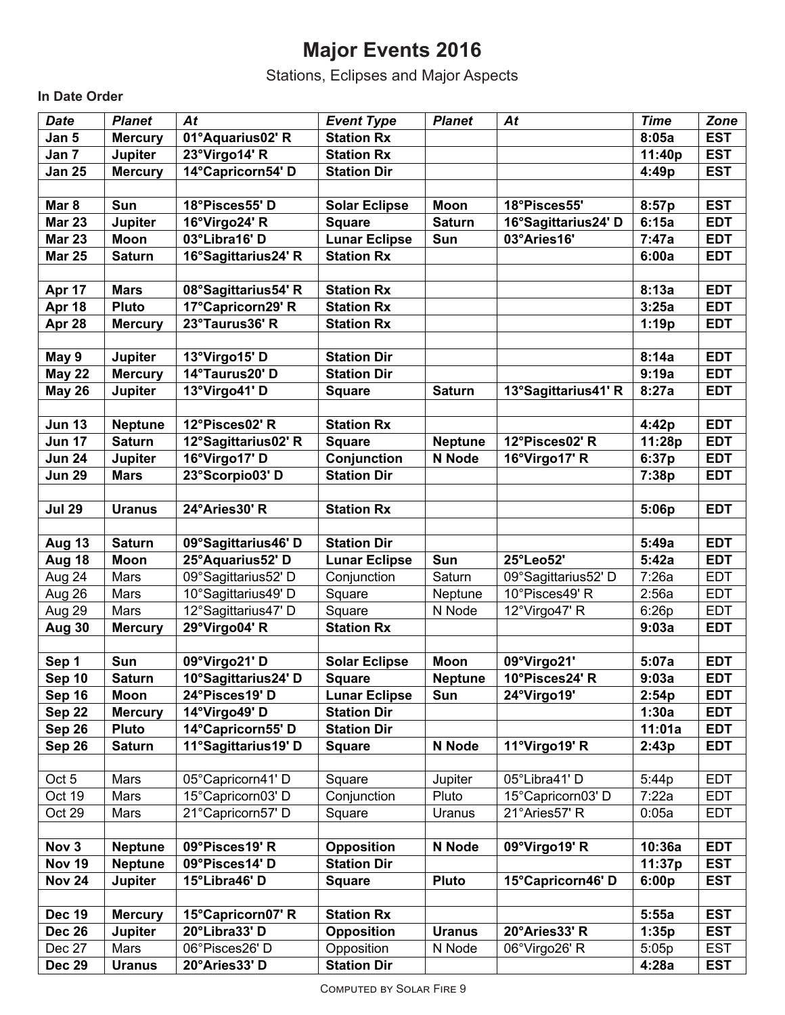# **Major Events 2016**

Stations, Eclipses and Major Aspects

**In Date Order**

| <b>Date</b>      | <b>Planet</b>         | At                             | <b>Event Type</b>                | <b>Planet</b>  | At                  | <b>Time</b> | Zone                     |
|------------------|-----------------------|--------------------------------|----------------------------------|----------------|---------------------|-------------|--------------------------|
| Jan 5            | <b>Mercury</b>        | 01°Aquarius02' R               | <b>Station Rx</b>                |                |                     | 8:05a       | <b>EST</b>               |
| Jan 7            | Jupiter               | 23°Virgo14' R                  | <b>Station Rx</b>                |                |                     | 11:40p      | <b>EST</b>               |
| <b>Jan 25</b>    | <b>Mercury</b>        | 14°Capricorn54' D              | <b>Station Dir</b>               |                |                     | 4:49p       | <b>EST</b>               |
|                  |                       |                                |                                  |                |                     |             |                          |
| Mar <sub>8</sub> | Sun                   | 18°Pisces55' D                 | <b>Solar Eclipse</b>             | <b>Moon</b>    | 18°Pisces55'        | 8:57p       | <b>EST</b>               |
| <b>Mar 23</b>    | <b>Jupiter</b>        | 16°Virgo24' R                  | <b>Square</b>                    | <b>Saturn</b>  | 16°Sagittarius24'D  | 6:15a       | <b>EDT</b>               |
| <b>Mar 23</b>    | Moon                  | 03°Libra16' D                  | <b>Lunar Eclipse</b>             | Sun            | 03°Aries16'         | 7:47a       | <b>EDT</b>               |
| <b>Mar 25</b>    | <b>Saturn</b>         | 16°Sagittarius24' R            | <b>Station Rx</b>                |                |                     | 6:00a       | <b>EDT</b>               |
|                  |                       |                                |                                  |                |                     |             |                          |
| Apr 17           | <b>Mars</b>           | 08°Sagittarius54' R            | <b>Station Rx</b>                |                |                     | 8:13a       | <b>EDT</b>               |
| Apr 18           | <b>Pluto</b>          | 17°Capricorn29' R              | <b>Station Rx</b>                |                |                     | 3:25a       | <b>EDT</b>               |
| Apr 28           | <b>Mercury</b>        | 23°Taurus36' R                 | <b>Station Rx</b>                |                |                     | 1:19p       | <b>EDT</b>               |
|                  |                       |                                |                                  |                |                     |             |                          |
| May 9            | Jupiter               | 13°Virgo15' D                  | <b>Station Dir</b>               |                |                     | 8:14a       | <b>EDT</b>               |
| <b>May 22</b>    | <b>Mercury</b>        | 14°Taurus20'D                  | <b>Station Dir</b>               |                |                     | 9:19a       | <b>EDT</b>               |
| <b>May 26</b>    | Jupiter               | 13°Virgo41' D                  | <b>Square</b>                    | <b>Saturn</b>  | 13°Sagittarius41' R | 8:27a       | <b>EDT</b>               |
|                  |                       |                                |                                  |                |                     |             |                          |
| <b>Jun 13</b>    | <b>Neptune</b>        | 12°Pisces02'R                  | <b>Station Rx</b>                |                |                     | 4:42p       | <b>EDT</b>               |
| <b>Jun 17</b>    | <b>Saturn</b>         | 12°Sagittarius02' R            | <b>Square</b>                    | <b>Neptune</b> | 12°Pisces02'R       | 11:28p      | <b>EDT</b>               |
| <b>Jun 24</b>    | Jupiter               | 16°Virgo17' D                  | Conjunction                      | N Node         | 16°Virgo17' R       | 6:37p       | <b>EDT</b>               |
| <b>Jun 29</b>    | <b>Mars</b>           | 23°Scorpio03'D                 | <b>Station Dir</b>               |                |                     | 7:38p       | <b>EDT</b>               |
|                  |                       |                                |                                  |                |                     |             |                          |
| <b>Jul 29</b>    | <b>Uranus</b>         | 24°Aries30' R                  | <b>Station Rx</b>                |                |                     | 5:06p       | <b>EDT</b>               |
|                  |                       |                                |                                  |                |                     |             |                          |
| Aug 13           | <b>Saturn</b>         | 09°Sagittarius46' D            | <b>Station Dir</b>               |                |                     | 5:49a       | <b>EDT</b>               |
| Aug 18           | Moon                  | 25°Aquarius52' D               | <b>Lunar Eclipse</b>             | Sun            | 25°Leo52'           | 5:42a       | <b>EDT</b>               |
| Aug 24           | Mars                  | 09°Sagittarius52' D            | Conjunction                      | Saturn         | 09°Sagittarius52' D | 7:26a       | <b>EDT</b>               |
| Aug 26           | Mars                  | 10°Sagittarius49'D             | Square                           | Neptune        | 10°Pisces49'R       | 2:56a       | <b>EDT</b>               |
| Aug 29           | Mars                  | 12°Sagittarius47' D            | Square                           | N Node         | 12°Virgo47' R       | 6:26p       | <b>EDT</b>               |
| Aug 30           | <b>Mercury</b>        | 29°Virgo04' R                  | <b>Station Rx</b>                |                |                     | 9:03a       | <b>EDT</b>               |
|                  |                       |                                |                                  |                |                     |             |                          |
| Sep 1            | <b>Sun</b>            | 09°Virgo21' D                  | <b>Solar Eclipse</b>             | <b>Moon</b>    | 09°Virgo21'         | 5:07a       | <b>EDT</b>               |
| Sep 10           | <b>Saturn</b>         | 10°Sagittarius24' D            | <b>Square</b>                    | <b>Neptune</b> | 10°Pisces24' R      | 9:03a       | <b>EDT</b>               |
| Sep 16           | <b>Moon</b>           | 24°Pisces19'D                  | <b>Lunar Eclipse</b>             | Sun            | 24°Virgo19'         | 2:54p       | <b>EDT</b>               |
| Sep 22           | <b>Mercury</b>        | 14°Virgo49' D                  | <b>Station Dir</b>               |                |                     | 1:30a       | <b>EDT</b>               |
| Sep 26           | <b>Pluto</b>          | 14°Capricorn55' D              | <b>Station Dir</b>               |                |                     | 11:01a      | <b>EDT</b>               |
| Sep 26           | <b>Saturn</b>         | 11°Sagittarius19' D            | <b>Square</b>                    | N Node         | 11°Virgo19' R       | 2:43p       | <b>EDT</b>               |
|                  |                       |                                |                                  |                |                     |             |                          |
| Oct 5            | Mars                  | 05°Capricorn41' D              | Square                           | Jupiter        | 05°Libra41'D        | 5:44p       | <b>EDT</b>               |
| Oct 19           | Mars                  | 15°Capricorn03' D              | Conjunction                      | Pluto          | 15°Capricorn03' D   | 7:22a       | <b>EDT</b>               |
| Oct 29           | Mars                  | 21°Capricorn57' D              | Square                           | Uranus         | 21°Aries57' R       | 0:05a       | <b>EDT</b>               |
|                  |                       |                                |                                  |                |                     |             |                          |
| Nov 3            | <b>Neptune</b>        | 09°Pisces19'R                  | <b>Opposition</b>                | N Node         | 09°Virgo19' R       | 10:36a      | <b>EDT</b>               |
| <b>Nov 19</b>    | <b>Neptune</b>        | 09°Pisces14'D                  | <b>Station Dir</b>               |                |                     | 11:37p      | <b>EST</b>               |
| <b>Nov 24</b>    | Jupiter               | 15°Libra46' D                  | <b>Square</b>                    | <b>Pluto</b>   | 15°Capricorn46' D   | 6:00p       | <b>EST</b>               |
|                  |                       |                                |                                  |                |                     |             |                          |
| <b>Dec 19</b>    | <b>Mercury</b>        | 15°Capricorn07' R              | <b>Station Rx</b>                |                |                     | 5:55a       | <b>EST</b>               |
| <b>Dec 26</b>    |                       |                                |                                  |                |                     |             |                          |
|                  | Jupiter               | 20°Libra33' D                  | <b>Opposition</b>                | <b>Uranus</b>  | 20°Aries33' R       | 1:35p       | <b>EST</b>               |
| Dec 27           | Mars<br><b>Uranus</b> | 06°Pisces26'D<br>20°Aries33' D | Opposition<br><b>Station Dir</b> | N Node         | 06°Virgo26' R       | 5:05p       | <b>EST</b><br><b>EST</b> |